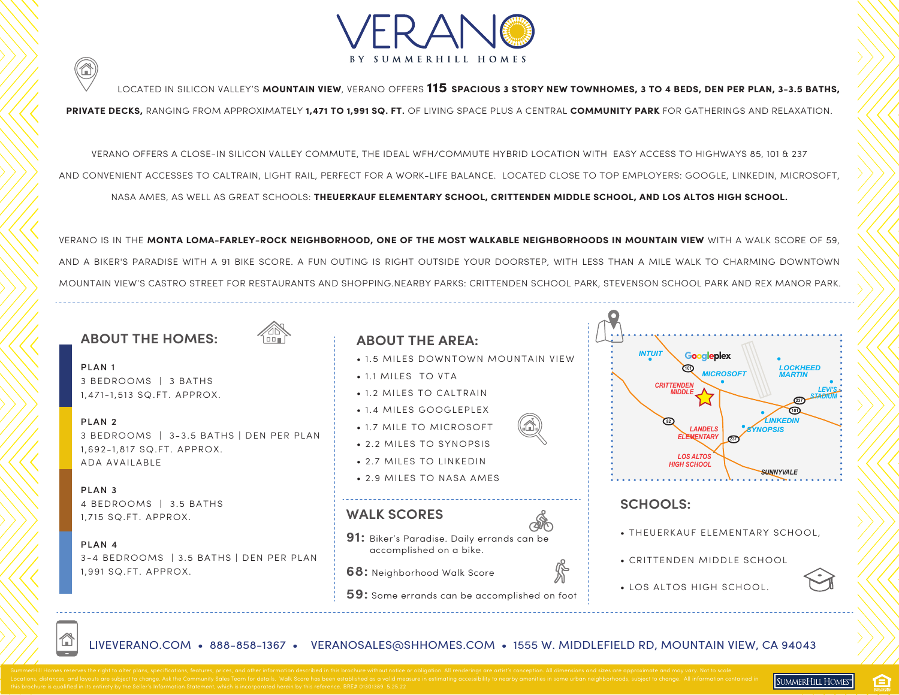

LOCATED IN SILICON VALLEY'S **MOUNTAIN VIEW**, VERANO OFFERS **115 SPACIOUS 3 STORY NEW TOWNHOMES, 3 TO 4 BEDS, DEN PER PLAN, 3-3.5 BATHS,** 

**PRIVATE DECKS,** RANGING FROM APPROXIMATELY **1,471 TO 1,991 SQ. FT.** OF LIVING SPACE PLUS A CENTRAL **COMMUNITY PARK** FOR GATHERINGS AND RELAXATION.

VERANO OFFERS A CLOSE-IN SILICON VALLEY COMMUTE, THE IDEAL WFH/COMMUTE HYBRID LOCATION WITH EASY ACCESS TO HIGHWAYS 85, 101 & 237 AND CONVENIENT ACCESSES TO CALTRAIN, LIGHT RAIL, PERFECT FOR A WORK-LIFE BALANCE. LOCATED CLOSE TO TOP EMPLOYERS: GOOGLE, LINKEDIN, MICROSOFT, NASA AMES, AS WELL AS GREAT SCHOOLS: **THEUERKAUF ELEMENTARY SCHOOL, CRITTENDEN MIDDLE SCHOOL, AND LOS ALTOS HIGH SCHOOL.**

VERANO IS IN THE **MONTA LOMA-FARLEY-ROCK NEIGHBORHOOD, ONE OF THE MOST WALKABLE NEIGHBORHOODS IN MOUNTAIN VIEW** WITH A WALK SCORE OF 59, AND A BIKER'S PARADISE WITH A 91 BIKE SCORE. A FUN OUTING IS RIGHT OUTSIDE YOUR DOORSTEP, WITH LESS THAN A MILE WALK TO CHARMING DOWNTOWN MOUNTAIN VIEW'S CASTRO STREET FOR RESTAURANTS AND SHOPPING.NEARBY PARKS: CRITTENDEN SCHOOL PARK, STEVENSON SCHOOL PARK AND REX MANOR PARK.

#### **ABOUT THE HOMES:**

☎



PLAN 13 BEDROOMS | 3 BATHS 1,471-1,513 SQ.FT. APPROX.

PLAN 23 BEDROOMS | 3-3.5 BATHS | DEN PER PLAN 1,692-1,817 SQ.FT. APPROX. ADA AVAILABLE

PLAN 34 BEDROOMS | 3.5 BATHS 1,715 SQ.FT. APPROX.

Έ

PLAN 43-4 BEDROOMS | 3.5 BATHS | DEN PER PLAN 1,991 SQ.FT. APPROX.

#### **ABOUT THE AREA:**

- 1.5 MILES DOWNTOWN MOUNTAIN VIEW
- 1.1 MILES TO VTA
- 1.2 MILES TO CALTRAIN
- 1.4 MILES GOOGLEPLEX
- 1.7 MILE TO MICROSOFT
- 2.2 MILES TO SYNOPSIS
- 2.7 MILES TO LINKEDIN
- 2.9 MILES TO NASA AMES

#### **WALK SCORES**



- **91:** Biker's Paradise. Daily errands can be accomplished on a bike.
- **68:** Neighborhood Walk Score
- **59:** Some errands can be accomplished on foot



#### **SCHOOLS:**

• THEUERKAUF ELEMENTARY SCHOOL,

SUMMERHILL HOMES"

ê

• CRITTENDEN MIDDLE SCHOOL



LIVEVERANO.COM • 888-858-1367 • VERANOSALES@SHHOMES.COM • 1555 W. MIDDLEFIELD RD, MOUNTAIN VIEW, CA 94043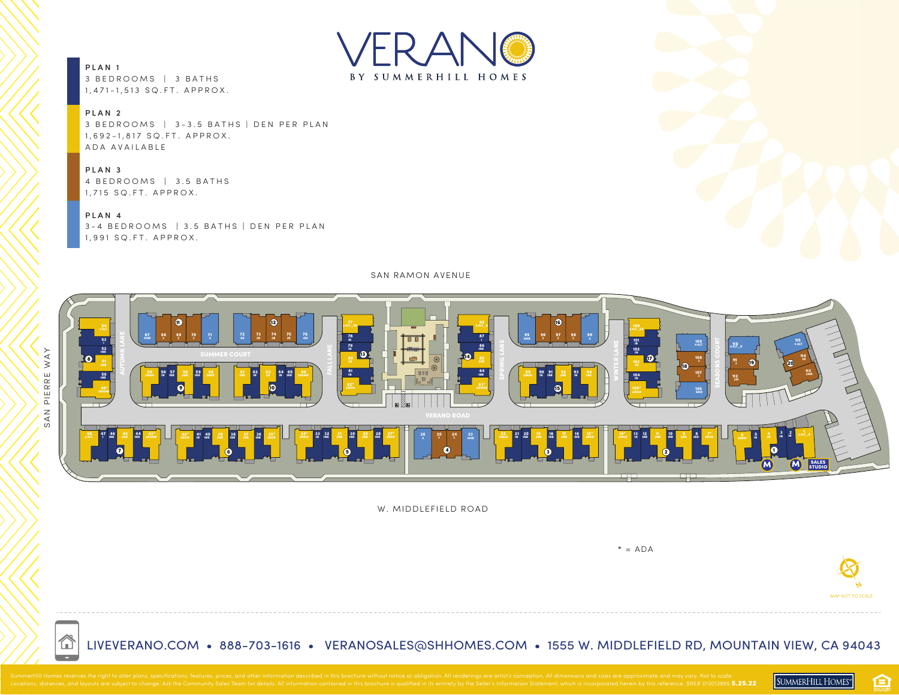

PLAN 13 BEDROOMS | 3 BATHS 1,471-1,513 SQ.FT. APPROX.

#### PLAN 2

3 BEDROOMS | 3-3.5 BATHS | DEN PER PLAN 1,692-1,817 SQ.FT. APPROX. ADA AVAILABLE

#### PLAN 3

4 BEDROOMS | 3.5 BATHS 1,715 SQ.FT. APPROX.

#### PLAN 4

<mark>企</mark>

3-4 BEDROOMS | 3.5 BATHS | DEN PER PLAN 1,991 SQ.FT. APPROX.

SAN RAMON AVENUE



W. MIDDLEFIELD ROAD



LIVEVERANO.COM • 888-703-1616 • VERANOSALES@SHHOMES.COM • 1555 W. MIDDLEFIELD RD, MOUNTAIN VIEW, CA 94043

臼

SUMMERHILL HOMES"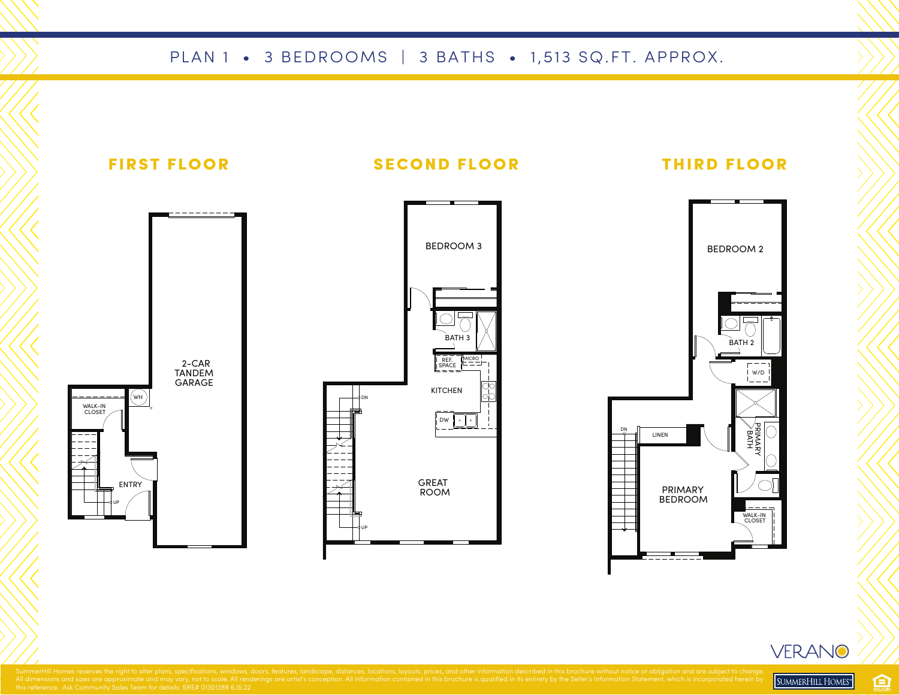### PLAN 1 • 3 BEDROOMS | 3 BATHS • 1,513 SQ.FT. APPROX.



VERANO

SUMMERHILL HOMES"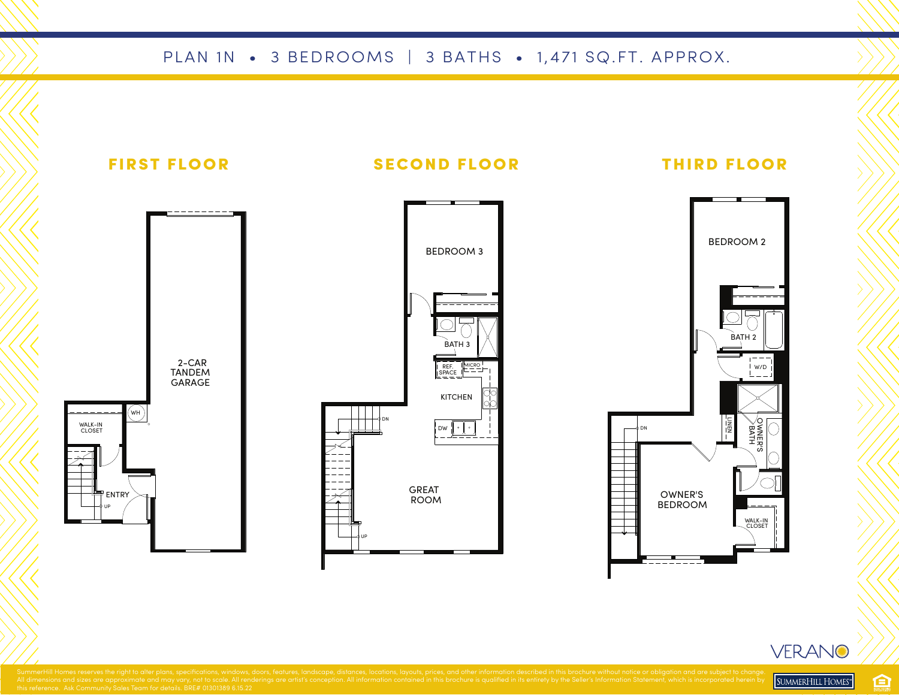#### PLAN 1N • 3 BEDROOMS | 3 BATHS • 1,471 SQ.FT. APPROX.



臼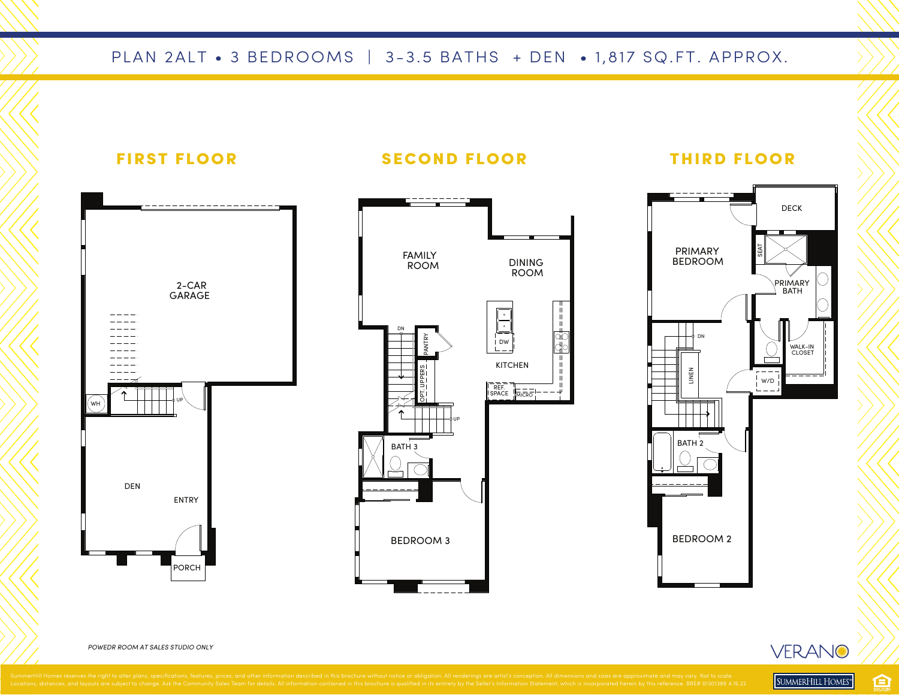### PLAN 2ALT • 3 BEDROOMS | 3-3.5 BATHS + DEN • 1,817 SQ.FT. APPROX.



*POWEDR ROOM AT SALES STUDIO ONLY*

SUMMERHILL HOMES"

臼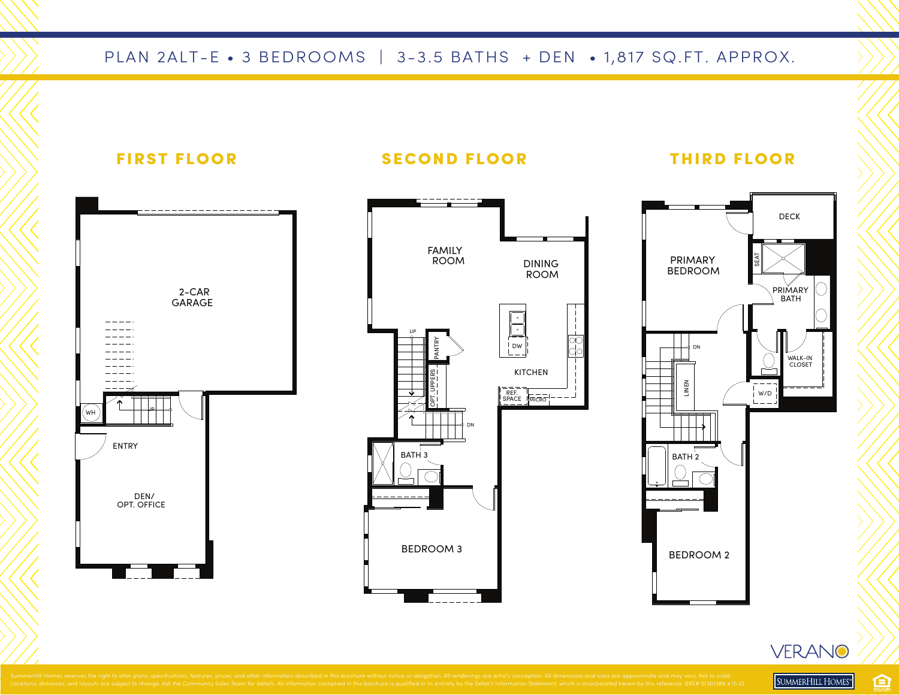## PLAN 2ALT-E • 3 BEDROOMS | 3-3.5 BATHS + DEN • 1,817 SQ.FT. APPROX.



VERANO SUMMERHILL HOMES"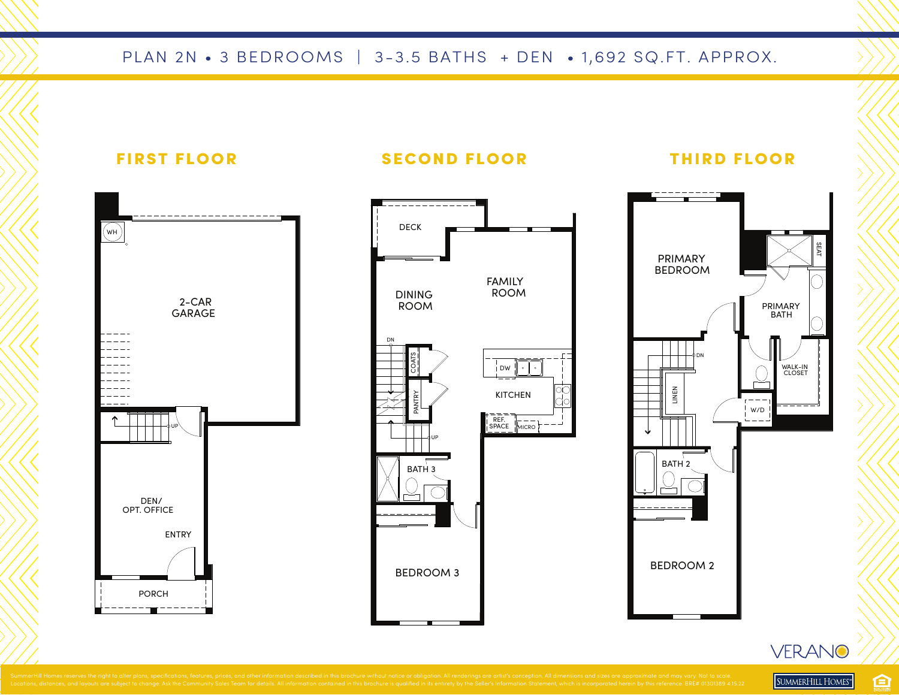# PLAN 2N • 3 BEDROOMS | 3-3.5 BATHS + DEN • 1,692 SQ.FT. APPROX.



臼 SUMMERHILL HOMES"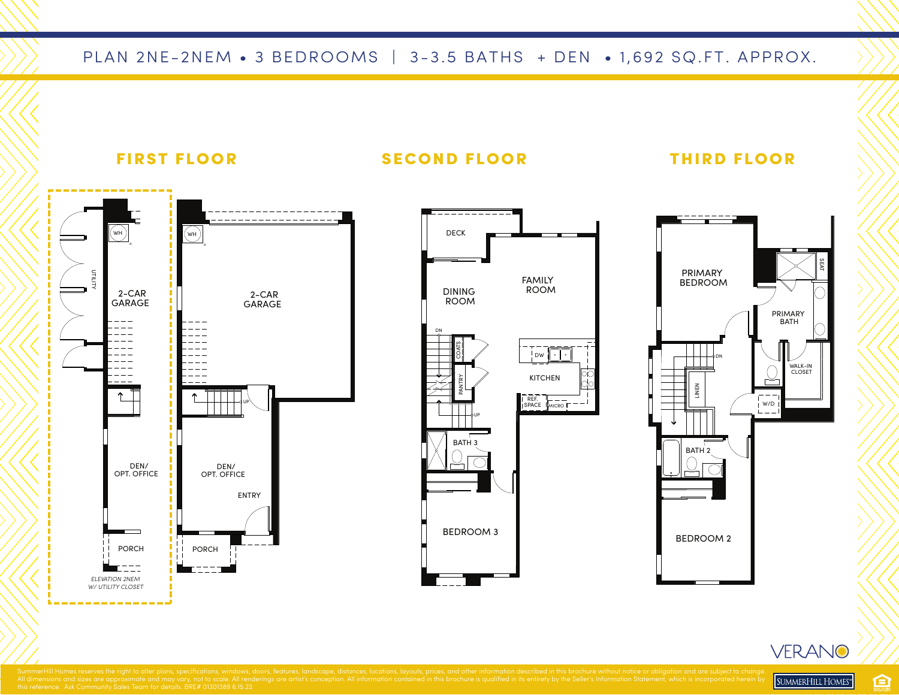#### PLAN 2NE-2NEM • 3 BEDROOMS | 3-3.5 BATHS + DEN • 1,692 SQ.FT. APPROX.



#### 臼 SUMMERHILL HOMES<sup>®</sup>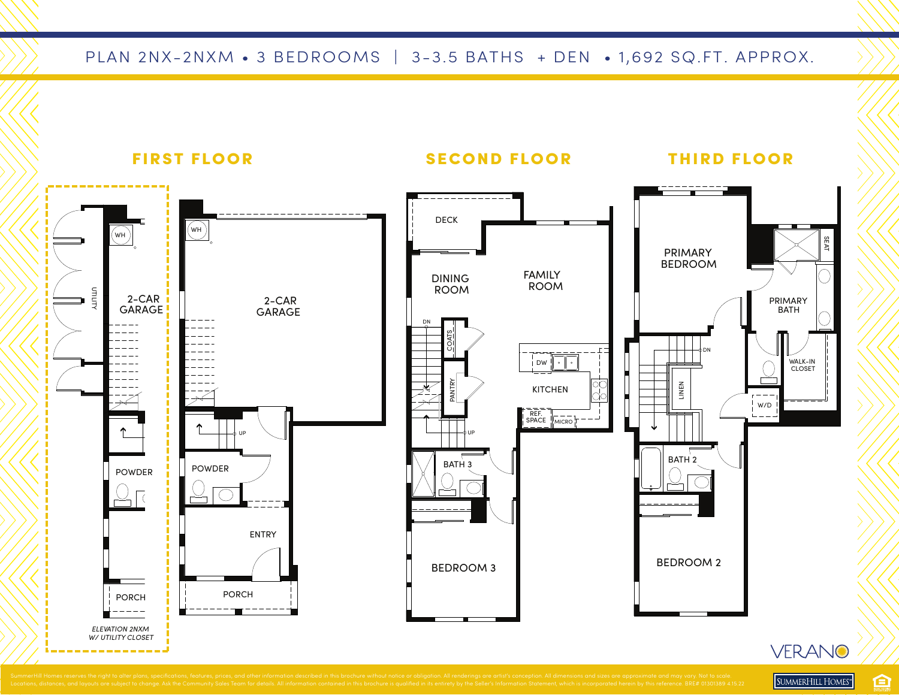## PLAN 2NX-2NXM • 3 BEDROOMS | 3-3.5 BATHS + DEN • 1,692 SQ.FT. APPROX.



SUMMERHILL HOMES" 臼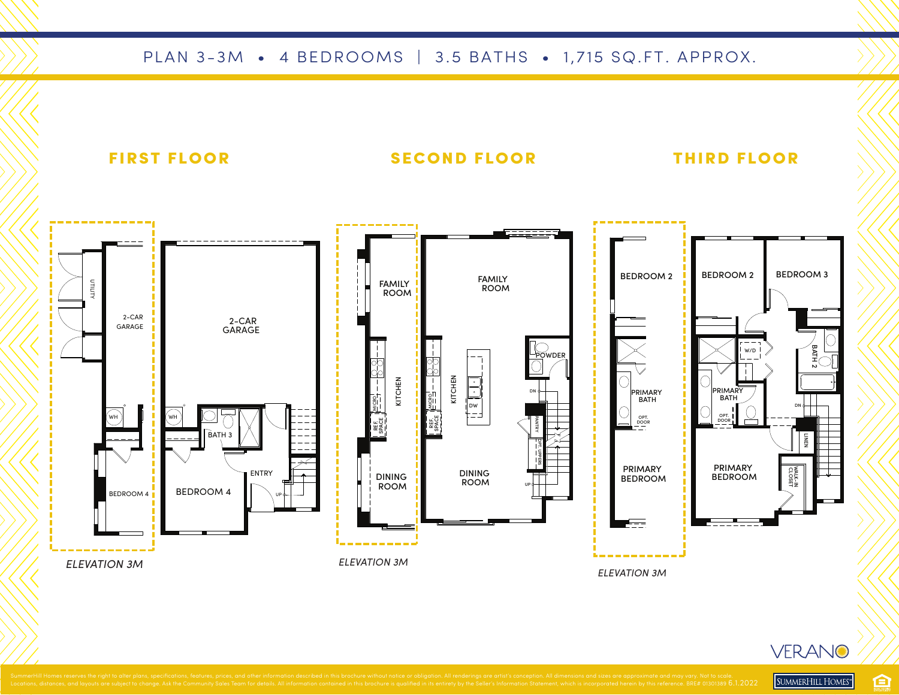### PLAN 3-3M • 4 BEDROOMS | 3.5 BATHS • 1,715 SQ.FT. APPROX.



臼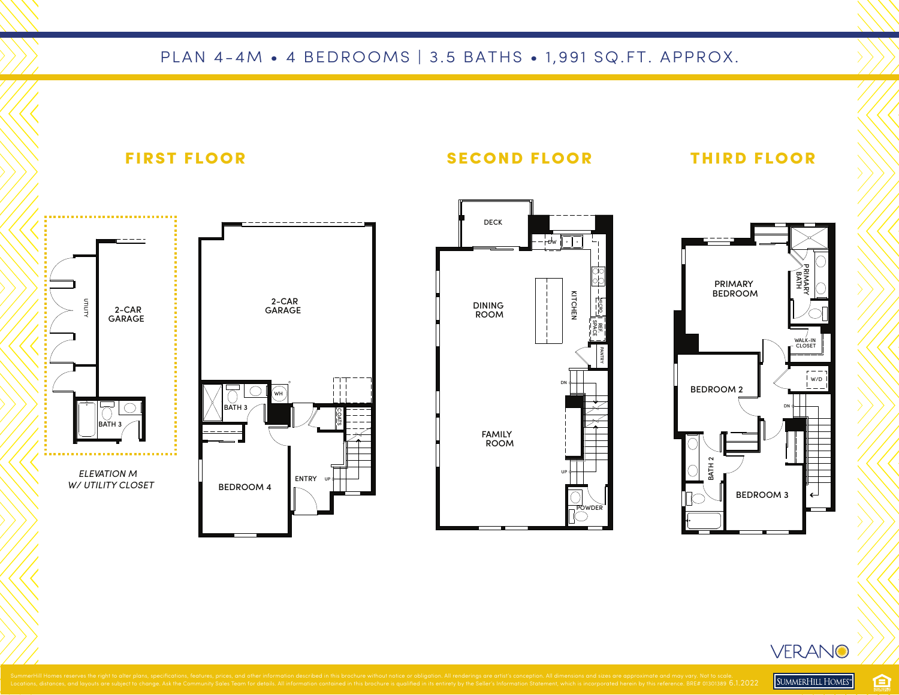## PLAN 4-4M • 4 BEDROOMS | 3.5 BATHS • 1,991 SQ.FT. APPROX.





SUMMERHILL HOMES"